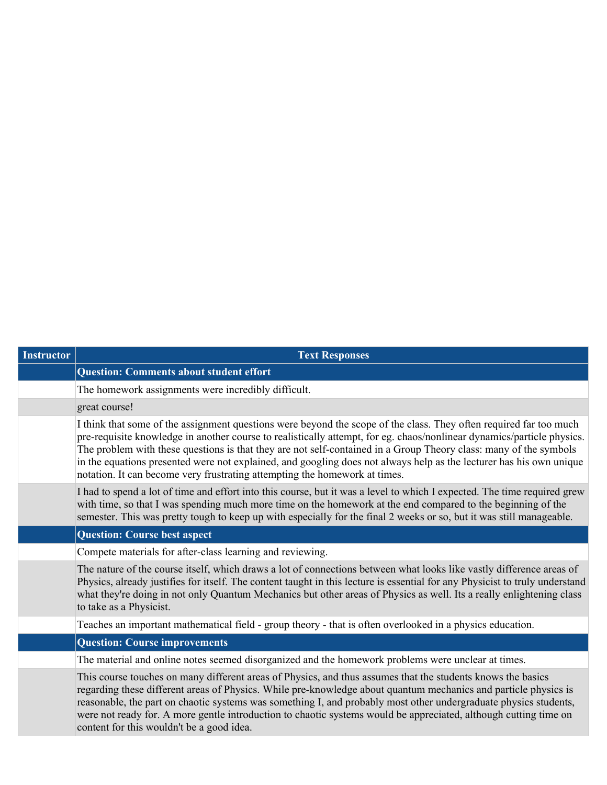| <b>Instructor</b> | <b>Text Responses</b>                                                                                                                                                                                                                                                                                                                                                                                                                                                                                                                                                  |
|-------------------|------------------------------------------------------------------------------------------------------------------------------------------------------------------------------------------------------------------------------------------------------------------------------------------------------------------------------------------------------------------------------------------------------------------------------------------------------------------------------------------------------------------------------------------------------------------------|
|                   | <b>Question: Comments about student effort</b>                                                                                                                                                                                                                                                                                                                                                                                                                                                                                                                         |
|                   | The homework assignments were incredibly difficult.                                                                                                                                                                                                                                                                                                                                                                                                                                                                                                                    |
|                   | great course!                                                                                                                                                                                                                                                                                                                                                                                                                                                                                                                                                          |
|                   | I think that some of the assignment questions were beyond the scope of the class. They often required far too much<br>pre-requisite knowledge in another course to realistically attempt, for eg. chaos/nonlinear dynamics/particle physics.<br>The problem with these questions is that they are not self-contained in a Group Theory class: many of the symbols<br>in the equations presented were not explained, and googling does not always help as the lecturer has his own unique<br>notation. It can become very frustrating attempting the homework at times. |
|                   | I had to spend a lot of time and effort into this course, but it was a level to which I expected. The time required grew<br>with time, so that I was spending much more time on the homework at the end compared to the beginning of the<br>semester. This was pretty tough to keep up with especially for the final 2 weeks or so, but it was still manageable.                                                                                                                                                                                                       |
|                   | <b>Question: Course best aspect</b>                                                                                                                                                                                                                                                                                                                                                                                                                                                                                                                                    |
|                   | Compete materials for after-class learning and reviewing.                                                                                                                                                                                                                                                                                                                                                                                                                                                                                                              |
|                   | The nature of the course itself, which draws a lot of connections between what looks like vastly difference areas of<br>Physics, already justifies for itself. The content taught in this lecture is essential for any Physicist to truly understand<br>what they're doing in not only Quantum Mechanics but other areas of Physics as well. Its a really enlightening class<br>to take as a Physicist.                                                                                                                                                                |
|                   | Teaches an important mathematical field - group theory - that is often overlooked in a physics education.                                                                                                                                                                                                                                                                                                                                                                                                                                                              |
|                   | <b>Question: Course improvements</b>                                                                                                                                                                                                                                                                                                                                                                                                                                                                                                                                   |
|                   | The material and online notes seemed disorganized and the homework problems were unclear at times.                                                                                                                                                                                                                                                                                                                                                                                                                                                                     |
|                   | This course touches on many different areas of Physics, and thus assumes that the students knows the basics<br>regarding these different areas of Physics. While pre-knowledge about quantum mechanics and particle physics is<br>reasonable, the part on chaotic systems was something I, and probably most other undergraduate physics students,<br>were not ready for. A more gentle introduction to chaotic systems would be appreciated, although cutting time on<br>content for this wouldn't be a good idea.                                                    |
|                   |                                                                                                                                                                                                                                                                                                                                                                                                                                                                                                                                                                        |